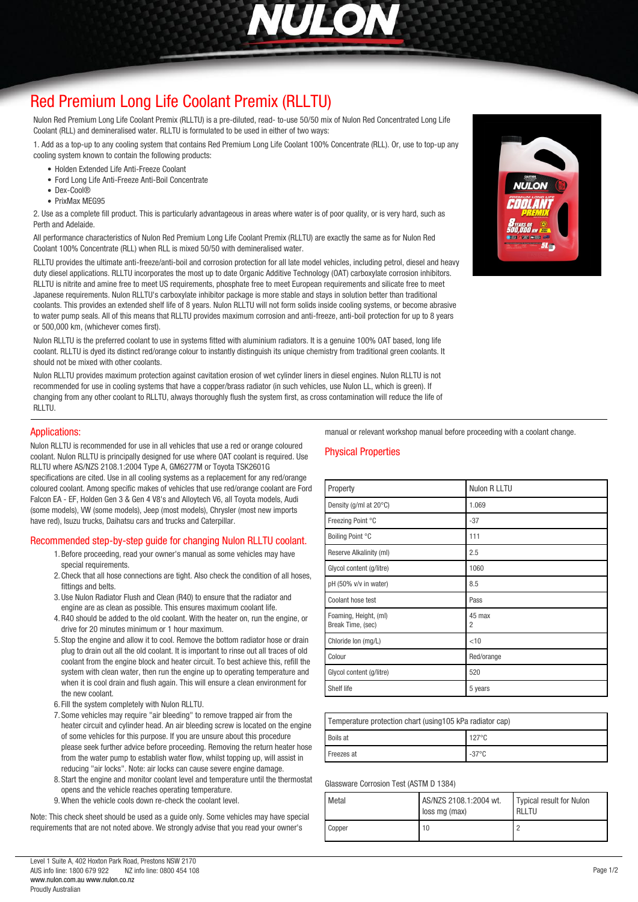

# *[Red Premium Long Life Coolant Premix \(RLLTU\)](http://www.nulon.com.au)*

*Nulon Red Premium Long Life Coolant Premix (RLLTU) is a pre-diluted, read- to-use 50/50 mix of Nulon Red Concentrated Long Life Coolant (RLL) and demineralised water. RLLTU is formulated to be used in either of two ways:*

*1. Add as a top-up to any cooling system that contains Red Premium Long Life Coolant 100% Concentrate (RLL). Or, use to top-up any cooling system known to contain the following products:*

- *Holden Extended Life Anti-Freeze Coolant*
- *Ford Long Life Anti-Freeze Anti-Boil Concentrate*
- *Dex-Cool®*
- *PrixMax MEG95*

*2. Use as a complete fill product. This is particularly advantageous in areas where water is of poor quality, or is very hard, such as Perth and Adelaide.*

*All performance characteristics of Nulon Red Premium Long Life Coolant Premix (RLLTU) are exactly the same as for Nulon Red Coolant 100% Concentrate (RLL) when RLL is mixed 50/50 with demineralised water.*

*RLLTU provides the ultimate anti-freeze/anti-boil and corrosion protection for all late model vehicles, including petrol, diesel and heavy duty diesel applications. RLLTU incorporates the most up to date Organic Additive Technology (OAT) carboxylate corrosion inhibitors. RLLTU is nitrite and amine free to meet US requirements, phosphate free to meet European requirements and silicate free to meet Japanese requirements. Nulon RLLTU's carboxylate inhibitor package is more stable and stays in solution better than traditional coolants. This provides an extended shelf life of 8 years. Nulon RLLTU will not form solids inside cooling systems, or become abrasive to water pump seals. All of this means that RLLTU provides maximum corrosion and anti-freeze, anti-boil protection for up to 8 years or 500,000 km, (whichever comes first).*

*Nulon RLLTU is the preferred coolant to use in systems fitted with aluminium radiators. It is a genuine 100% OAT based, long life coolant. RLLTU is dyed its distinct red/orange colour to instantly distinguish its unique chemistry from traditional green coolants. It should not be mixed with other coolants.*

*Nulon RLLTU provides maximum protection against cavitation erosion of wet cylinder liners in diesel engines. Nulon RLLTU is not recommended for use in cooling systems that have a copper/brass radiator (in such vehicles, use Nulon LL, which is green). If changing from any other coolant to RLLTU, always thoroughly flush the system first, as cross contamination will reduce the life of RLLTU.*

#### *Applications:*

*Nulon RLLTU is recommended for use in all vehicles that use a red or orange coloured coolant. Nulon RLLTU is principally designed for use where OAT coolant is required. Use RLLTU where AS/NZS 2108.1:2004 Type A, GM6277M or Toyota TSK2601G specifications are cited. Use in all cooling systems as a replacement for any red/orange coloured coolant. Among specific makes of vehicles that use red/orange coolant are Ford Falcon EA - EF, Holden Gen 3 & Gen 4 V8's and Alloytech V6, all Toyota models, Audi (some models), VW (some models), Jeep (most models), Chrysler (most new imports have red), Isuzu trucks, Daihatsu cars and trucks and Caterpillar.*

#### *Recommended step-by-step guide for changing Nulon RLLTU coolant.*

- *1.Before proceeding, read your owner's manual as some vehicles may have special requirements.*
- *2.Check that all hose connections are tight. Also check the condition of all hoses, fittings and belts.*
- *3.Use Nulon Radiator Flush and Clean (R40) to ensure that the radiator and engine are as clean as possible. This ensures maximum coolant life.*
- *4.R40 should be added to the old coolant. With the heater on, run the engine, or drive for 20 minutes minimum or 1 hour maximum.*
- *5. Stop the engine and allow it to cool. Remove the bottom radiator hose or drain plug to drain out all the old coolant. It is important to rinse out all traces of old coolant from the engine block and heater circuit. To best achieve this, refill the system with clean water, then run the engine up to operating temperature and when it is cool drain and flush again. This will ensure a clean environment for the new coolant.*
- *6. Fill the system completely with Nulon RLLTU.*
- *7. Some vehicles may require "air bleeding" to remove trapped air from the heater circuit and cylinder head. An air bleeding screw is located on the engine of some vehicles for this purpose. If you are unsure about this procedure please seek further advice before proceeding. Removing the return heater hose from the water pump to establish water flow, whilst topping up, will assist in reducing "air locks". Note: air locks can cause severe engine damage.*
- *8. Start the engine and monitor coolant level and temperature until the thermostat opens and the vehicle reaches operating temperature.*
- *9.When the vehicle cools down re-check the coolant level.*

*Note: This check sheet should be used as a guide only. Some vehicles may have special requirements that are not noted above. We strongly advise that you read your owner's*

*manual or relevant workshop manual before proceeding with a coolant change.*

## *Physical Properties*

| Property                                   | Nulon R LLTU             |
|--------------------------------------------|--------------------------|
| Density (g/ml at $20^{\circ}$ C)           | 1.069                    |
| Freezing Point °C                          | $-37$                    |
| Boiling Point °C                           | 111                      |
| Reserve Alkalinity (ml)                    | 2.5                      |
| Glycol content (g/litre)                   | 1060                     |
| pH (50% v/v in water)                      | 8.5                      |
| Coolant hose test                          | Pass                     |
| Foaming, Height, (ml)<br>Break Time, (sec) | 45 max<br>$\overline{2}$ |
| Chloride Ion (mg/L)                        | $<$ 10                   |
| Colour                                     | Red/orange               |
| Glycol content (g/litre)                   | 520                      |
| Shelf life                                 | 5 years                  |

| Temperature protection chart (using 105 kPa radiator cap) |                 |  |
|-----------------------------------------------------------|-----------------|--|
| Boils at                                                  | $127^{\circ}$ C |  |
| Freezes at                                                | $-37^{\circ}$ C |  |

*Glassware Corrosion Test (ASTM D 1384)*

| Metal  | AS/NZS 2108.1:2004 wt.<br>loss mg (max) | Typical result for Nulon<br><b>RLLTU</b> |
|--------|-----------------------------------------|------------------------------------------|
| Copper | 10                                      |                                          |